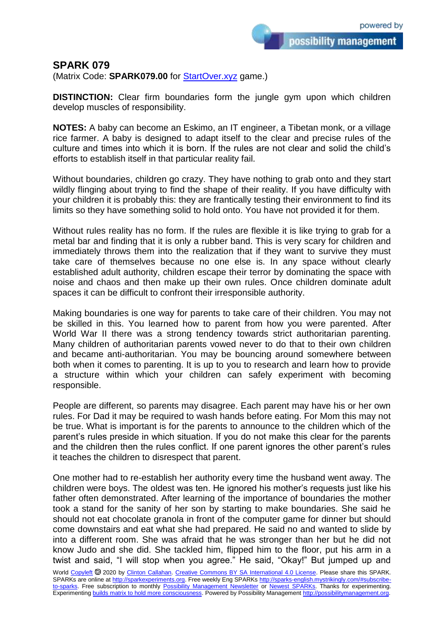possibility management

## **SPARK 079**

(Matrix Code: **SPARK079.00** for **StartOver.xyz** game.)

**DISTINCTION:** Clear firm boundaries form the jungle gym upon which children develop muscles of responsibility.

**NOTES:** A baby can become an Eskimo, an IT engineer, a Tibetan monk, or a village rice farmer. A baby is designed to adapt itself to the clear and precise rules of the culture and times into which it is born. If the rules are not clear and solid the child's efforts to establish itself in that particular reality fail.

Without boundaries, children go crazy. They have nothing to grab onto and they start wildly flinging about trying to find the shape of their reality. If you have difficulty with your children it is probably this: they are frantically testing their environment to find its limits so they have something solid to hold onto. You have not provided it for them.

Without rules reality has no form. If the rules are flexible it is like trying to grab for a metal bar and finding that it is only a rubber band. This is very scary for children and immediately throws them into the realization that if they want to survive they must take care of themselves because no one else is. In any space without clearly established adult authority, children escape their terror by dominating the space with noise and chaos and then make up their own rules. Once children dominate adult spaces it can be difficult to confront their irresponsible authority.

Making boundaries is one way for parents to take care of their children. You may not be skilled in this. You learned how to parent from how you were parented. After World War II there was a strong tendency towards strict authoritarian parenting. Many children of authoritarian parents vowed never to do that to their own children and became anti-authoritarian. You may be bouncing around somewhere between both when it comes to parenting. It is up to you to research and learn how to provide a structure within which your children can safely experiment with becoming responsible.

People are different, so parents may disagree. Each parent may have his or her own rules. For Dad it may be required to wash hands before eating. For Mom this may not be true. What is important is for the parents to announce to the children which of the parent's rules preside in which situation. If you do not make this clear for the parents and the children then the rules conflict. If one parent ignores the other parent's rules it teaches the children to disrespect that parent.

One mother had to re-establish her authority every time the husband went away. The children were boys. The oldest was ten. He ignored his mother's requests just like his father often demonstrated. After learning of the importance of boundaries the mother took a stand for the sanity of her son by starting to make boundaries. She said he should not eat chocolate granola in front of the computer game for dinner but should come downstairs and eat what she had prepared. He said no and wanted to slide by into a different room. She was afraid that he was stronger than her but he did not know Judo and she did. She tackled him, flipped him to the floor, put his arm in a twist and said, "I will stop when you agree." He said, "Okay!" But jumped up and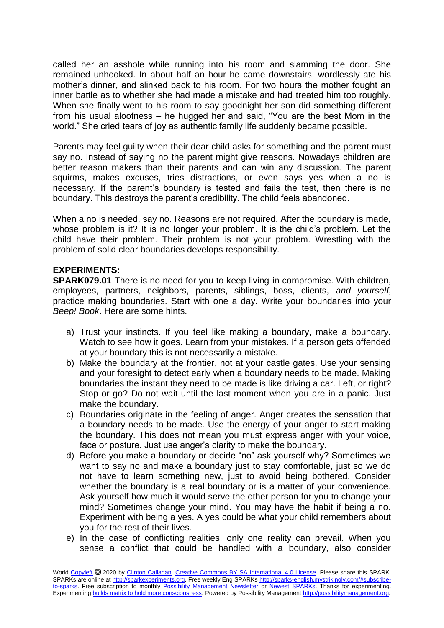called her an asshole while running into his room and slamming the door. She remained unhooked. In about half an hour he came downstairs, wordlessly ate his mother's dinner, and slinked back to his room. For two hours the mother fought an inner battle as to whether she had made a mistake and had treated him too roughly. When she finally went to his room to say goodnight her son did something different from his usual aloofness – he hugged her and said, "You are the best Mom in the world." She cried tears of joy as authentic family life suddenly became possible.

Parents may feel guilty when their dear child asks for something and the parent must say no. Instead of saying no the parent might give reasons. Nowadays children are better reason makers than their parents and can win any discussion. The parent squirms, makes excuses, tries distractions, or even says yes when a no is necessary. If the parent's boundary is tested and fails the test, then there is no boundary. This destroys the parent's credibility. The child feels abandoned.

When a no is needed, say no. Reasons are not required. After the boundary is made, whose problem is it? It is no longer your problem. It is the child's problem. Let the child have their problem. Their problem is not your problem. Wrestling with the problem of solid clear boundaries develops responsibility.

## **EXPERIMENTS:**

**SPARK079.01** There is no need for you to keep living in compromise. With children, employees, partners, neighbors, parents, siblings, boss, clients, *and yourself*, practice making boundaries. Start with one a day. Write your boundaries into your *Beep! Book*. Here are some hints.

- a) Trust your instincts. If you feel like making a boundary, make a boundary. Watch to see how it goes. Learn from your mistakes. If a person gets offended at your boundary this is not necessarily a mistake.
- b) Make the boundary at the frontier, not at your castle gates. Use your sensing and your foresight to detect early when a boundary needs to be made. Making boundaries the instant they need to be made is like driving a car. Left, or right? Stop or go? Do not wait until the last moment when you are in a panic. Just make the boundary.
- c) Boundaries originate in the feeling of anger. Anger creates the sensation that a boundary needs to be made. Use the energy of your anger to start making the boundary. This does not mean you must express anger with your voice, face or posture. Just use anger's clarity to make the boundary.
- d) Before you make a boundary or decide "no" ask yourself why? Sometimes we want to say no and make a boundary just to stay comfortable, just so we do not have to learn something new, just to avoid being bothered. Consider whether the boundary is a real boundary or is a matter of your convenience. Ask yourself how much it would serve the other person for you to change your mind? Sometimes change your mind. You may have the habit if being a no. Experiment with being a yes. A yes could be what your child remembers about you for the rest of their lives.
- e) In the case of conflicting realities, only one reality can prevail. When you sense a conflict that could be handled with a boundary, also consider